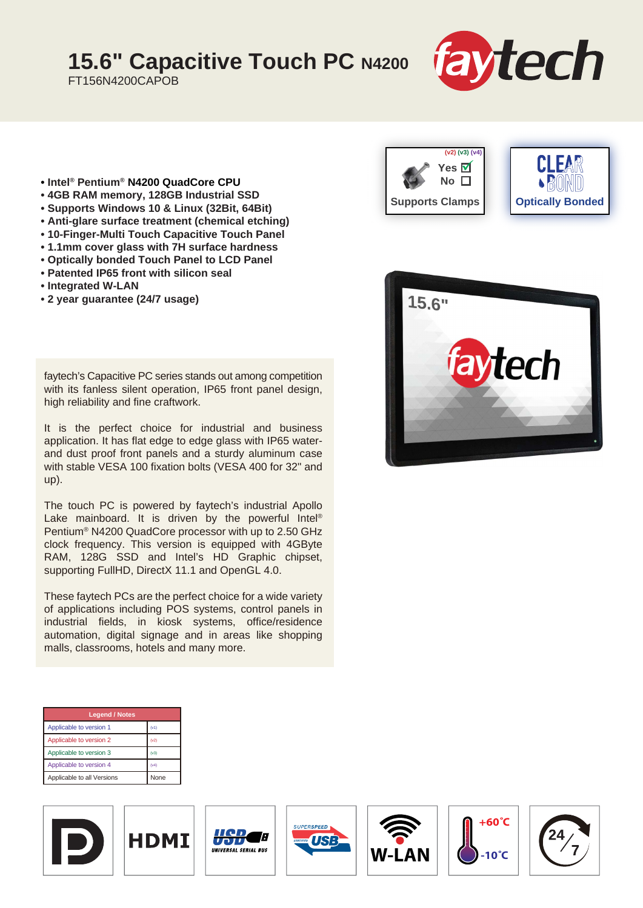## **15.6" Capacitive Touch PC N4200**

FT156N4200CAPOB



- **Intel® Pentium® N4200 QuadCore CPU**
- **4GB RAM memory, 128GB Industrial SSD**
- **Supports Windows 10 & Linux (32Bit, 64Bit)**
- **Anti-glare surface treatment (chemical etching)**
- **10-Finger-Multi Touch Capacitive Touch Panel**
- **1.1mm cover glass with 7H surface hardness**
- **Optically bonded Touch Panel to LCD Panel**
- **Patented IP65 front with silicon seal**
- **Integrated W-LAN**
- **2 year guarantee (24/7 usage)**

faytech's Capacitive PC series stands out among competition with its fanless silent operation, IP65 front panel design, high reliability and fine craftwork.

It is the perfect choice for industrial and business application. It has flat edge to edge glass with IP65 waterand dust proof front panels and a sturdy aluminum case with stable VESA 100 fixation bolts (VESA 400 for 32" and up).

The touch PC is powered by faytech's industrial Apollo Lake mainboard. It is driven by the powerful Intel® Pentium® N4200 QuadCore processor with up to 2.50 GHz clock frequency. This version is equipped with 4GByte RAM, 128G SSD and Intel's HD Graphic chipset, supporting FullHD, DirectX 11.1 and OpenGL 4.0.

These faytech PCs are the perfect choice for a wide variety of applications including POS systems, control panels in industrial fields, in kiosk systems, office/residence automation, digital signage and in areas like shopping malls, classrooms, hotels and many more.











Æ







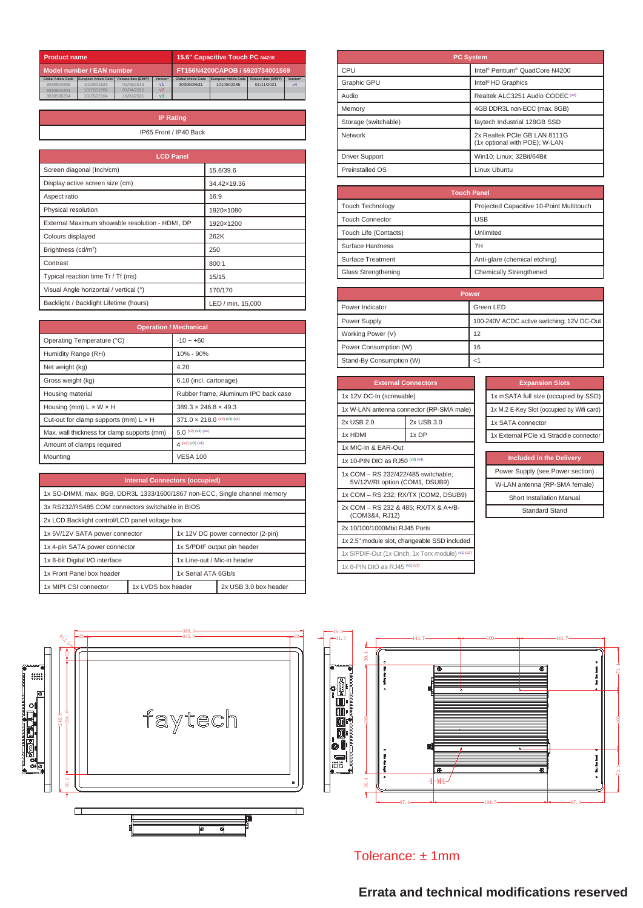| <b>Product name</b>        |                           | 15.6" Capacitive Touch PC N4200 |                                 |                            |                       |                      |                |
|----------------------------|---------------------------|---------------------------------|---------------------------------|----------------------------|-----------------------|----------------------|----------------|
|                            | Model number / EAN number |                                 | FT156N4200CAPOB / 6920734001569 |                            |                       |                      |                |
| <b>Global Article Code</b> | European Article Code     | Release date (D/M/Y)            | Version*                        | <b>Global Article Code</b> | European Article Code | Release date (D/M/Y) | Version*       |
| 3030502605                 | 1010501623                | 01/03/2019                      | v <sub>1</sub>                  | 3030509531                 | 1010502285            | 01/11/2021           | V <sub>4</sub> |
| 3030504403                 | 1010501886                | 01/04/2020                      | V <sub>2</sub>                  |                            |                       |                      |                |
| 3030506254                 | 1010502104                | 18/01/2021                      | v <sub>3</sub>                  |                            |                       |                      |                |

| <b>IP Rating</b>       |
|------------------------|
| IP65 Front / IP40 Back |
|                        |

| <b>LCD Panel</b>                                |                   |
|-------------------------------------------------|-------------------|
| Screen diagonal (Inch/cm)                       | 15.6/39.6         |
| Display active screen size (cm)                 | 34.42×19.36       |
| Aspect ratio                                    | 16:9              |
| Physical resolution                             | 1920×1080         |
| External Maximum showable resolution - HDMI, DP | 1920×1200         |
| Colours displayed                               | 262K              |
| Brightness (cd/m <sup>2</sup> )                 | 250               |
| Contrast                                        | 800:1             |
| Typical reaction time Tr / Tf (ms)              | 15/15             |
| Visual Angle horizontal / vertical (°)          | 170/170           |
| Backlight / Backlight Lifetime (hours)          | LED / min. 15,000 |

| <b>Operation / Mechanical</b>                |                                      |  |
|----------------------------------------------|--------------------------------------|--|
| Operating Temperature (°C)                   | $-10 - +60$                          |  |
| Humidity Range (RH)                          | 10% - 90%                            |  |
| Net weight (kg)                              | 4.20                                 |  |
| Gross weight (kg)                            | 6.10 (incl. cartonage)               |  |
| Housing material                             | Rubber frame, Aluminum IPC back case |  |
| Housing (mm) $L \times W \times H$           | $389.3 \times 246.8 \times 49.3$     |  |
| Cut-out for clamp supports (mm) $L \times H$ | $371.0 \times 218.0$ (v2) (v3) (v4)  |  |
| Max. wall thickness for clamp supports (mm)  | 5.0 $(v2) (v3) (v4)$                 |  |
| Amount of clamps required                    | $\Delta$ (v2) (v3) (v4)              |  |
| Mounting                                     | <b>VESA 100</b>                      |  |

| <b>Internal Connectors (occupied)</b>                                     |                    |                                   |                       |
|---------------------------------------------------------------------------|--------------------|-----------------------------------|-----------------------|
| 1x SO-DIMM, max. 8GB, DDR3L 1333/1600/1867 non-ECC, Single channel memory |                    |                                   |                       |
| 3x RS232/RS485 COM connectors switchable in BIOS                          |                    |                                   |                       |
| 2x LCD Backlight control/LCD panel voltage box                            |                    |                                   |                       |
| 1x 5V/12V SATA power connector                                            |                    | 1x 12V DC power connector (2-pin) |                       |
| 1x 4-pin SATA power connector                                             |                    | 1x S/PDIF output pin header       |                       |
| 1x 8-bit Digital I/O interface                                            |                    | 1x Line-out / Mic-in header       |                       |
| 1x Front Panel box header                                                 |                    | 1x Serial ATA 6Gh/s               |                       |
| 1x MIPI CSI connector                                                     | 1x LVDS box header |                                   | 2x USB 3.0 box header |

|                                                                                                                                                    | RIZ 2<br>ನಿ                    | $-389.3$<br>$-345.3$ |
|----------------------------------------------------------------------------------------------------------------------------------------------------|--------------------------------|----------------------|
| $\mathbf{e}^{\text{max}}$<br>$\overline{\mathbf{c}}$<br>™™®™™™™™™™™™™™™™™™™™™™™™™™™™™™™™™<br> ⊚<br>Ω<br>2<br>능<br>le<br>⊜<br>Contro<br>ō<br>۰<br>Ō | 194.6<br>246.8-<br>$\sim$<br>g | faytech<br>o         |
|                                                                                                                                                    |                                | Ŀ<br>¢<br>O          |

| <b>PC System</b>      |                                                               |  |
|-----------------------|---------------------------------------------------------------|--|
| CPU                   | Intel® Pentium® QuadCore N4200                                |  |
| Graphic GPU           | Intel <sup>®</sup> HD Graphics                                |  |
| Audio                 | Realtek ALC3251 Audio CODEC (v4)                              |  |
| Memory                | 4GB DDR3L non-ECC (max. 8GB)                                  |  |
| Storage (switchable)  | faytech Industrial 128GB SSD                                  |  |
| Network               | 2x Realtek PCIe GB LAN 8111G<br>(1x optional with POE); W-LAN |  |
| <b>Driver Support</b> | Win10; Linux; 32Bit/64Bit                                     |  |
| Preinstalled OS       | Linux Uhuntu                                                  |  |

| <b>Touch Panel</b>                 |                                          |  |
|------------------------------------|------------------------------------------|--|
| <b>Touch Technology</b>            | Projected Capacitive 10-Point Multitouch |  |
| <b>Touch Connector</b>             | <b>USB</b>                               |  |
| Unlimited<br>Touch Life (Contacts) |                                          |  |
| Surface Hardness                   | 7H                                       |  |
| Surface Treatment                  | Anti-glare (chemical etching)            |  |
| Glass Strengthening                | Chemically Strengthened                  |  |

| <b>Power</b>             |                                            |  |
|--------------------------|--------------------------------------------|--|
| Power Indicator          | Green LED                                  |  |
| Power Supply             | 100-240V ACDC active switching; 12V DC-Out |  |
| Working Power (V)        | 12                                         |  |
| Power Consumption (W)    | 16                                         |  |
| Stand-By Consumption (W) |                                            |  |

| <b>External Connectors</b>                                            |            |  |
|-----------------------------------------------------------------------|------------|--|
| 1x 12V DC-In (screwable)                                              |            |  |
| 1x W-LAN antenna connector (RP-SMA male)                              |            |  |
| 2x USB 2.0                                                            | 2x USB 3.0 |  |
| 1x HDMI                                                               | 1x DP      |  |
| 1x MIC-In & EAR-Out                                                   |            |  |
| 1x 10-PIN DIO as RJ50 (v3) (v4)                                       |            |  |
| 1x COM - RS 232/422/485 switchable;<br>5V/12V/RI option (COM1, DSUB9) |            |  |
| 1x COM – RS 232; RX/TX (COM2, DSUB9)                                  |            |  |
| 2x COM - RS 232 & 485; RX/TX & A+/B-<br>(COM3&4, RJ12)                |            |  |
| 2x 10/100/1000Mbit RJ45 Ports                                         |            |  |
| 1x 2.5" module slot, changeable SSD included                          |            |  |
| 1x S/PDIF-Out (1x Cinch, 1x Torx module) (v4) (v2)                    |            |  |
| 1x 8-PIN DIO as RJ45 (v1) (v2)                                        |            |  |

| <b>Included in the Delivery</b>  |
|----------------------------------|
| Power Supply (see Power section) |
| W-LAN antenna (RP-SMA female)    |
| <b>Short Installation Manual</b> |
| <b>Standard Stand</b>            |



Tolerance: ± 1mm

## **Errata and technical modifications reserved**